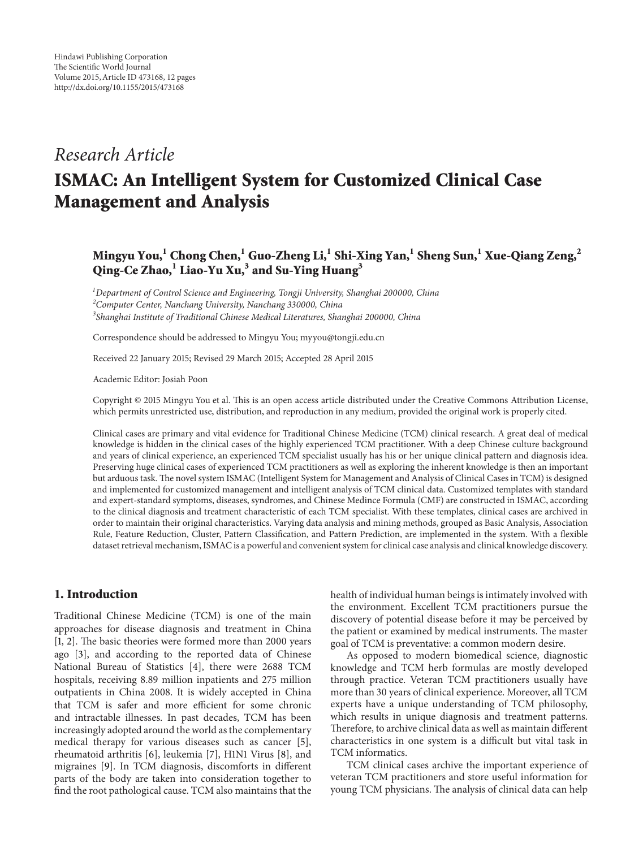# *Research Article*

# **ISMAC: An Intelligent System for Customized Clinical Case Management and Analysis**

## **Mingyu You,1 Chong Chen,1 Guo-Zheng Li,1 Shi-Xing Yan,1 Sheng Sun,<sup>1</sup> Xue-Qiang Zeng,<sup>2</sup> Qing-Ce Zhao,<sup>1</sup> Liao-Yu Xu,3 and Su-Ying Huang<sup>3</sup>**

*1 Department of Control Science and Engineering, Tongji University, Shanghai 200000, China 2 Computer Center, Nanchang University, Nanchang 330000, China 3 Shanghai Institute of Traditional Chinese Medical Literatures, Shanghai 200000, China*

Correspondence should be addressed to Mingyu You; myyou@tongji.edu.cn

Received 22 January 2015; Revised 29 March 2015; Accepted 28 April 2015

Academic Editor: Josiah Poon

Copyright © 2015 Mingyu You et al. This is an open access article distributed under the Creative Commons Attribution License, which permits unrestricted use, distribution, and reproduction in any medium, provided the original work is properly cited.

Clinical cases are primary and vital evidence for Traditional Chinese Medicine (TCM) clinical research. A great deal of medical knowledge is hidden in the clinical cases of the highly experienced TCM practitioner. With a deep Chinese culture background and years of clinical experience, an experienced TCM specialist usually has his or her unique clinical pattern and diagnosis idea. Preserving huge clinical cases of experienced TCM practitioners as well as exploring the inherent knowledge is then an important but arduous task. The novel system ISMAC (Intelligent System for Management and Analysis of Clinical Cases in TCM) is designed and implemented for customized management and intelligent analysis of TCM clinical data. Customized templates with standard and expert-standard symptoms, diseases, syndromes, and Chinese Medince Formula (CMF) are constructed in ISMAC, according to the clinical diagnosis and treatment characteristic of each TCM specialist. With these templates, clinical cases are archived in order to maintain their original characteristics. Varying data analysis and mining methods, grouped as Basic Analysis, Association Rule, Feature Reduction, Cluster, Pattern Classification, and Pattern Prediction, are implemented in the system. With a flexible dataset retrieval mechanism, ISMAC is a powerful and convenient system for clinical case analysis and clinical knowledge discovery.

## **1. Introduction**

Traditional Chinese Medicine (TCM) is one of the main approaches for disease diagnosis and treatment in China [1, 2]. The basic theories were formed more than 2000 years ago [3], and according to the reported data of Chinese National Bureau of Statistics [4], there were 2688 TCM hospitals, receiving 8.89 million inpatients and 275 million outpatients in China 2008. It is widely accepted in China that TCM is safer and more efficient for some chronic and intractable illnesses. In past decades, TCM has been increasingly adopted around the world as the complementary medical therapy for various diseases such as cancer [5], rheumatoid arthritis [6], leukemia [7], H1N1 Virus [8], and migraines [9]. In TCM diagnosis, discomforts in different parts of the body are taken into consideration together to find the root pathological cause. TCM also maintains that the

health of individual human beings is intimately involved with the environment. Excellent TCM practitioners pursue the discovery of potential disease before it may be perceived by the patient or examined by medical instruments. The master goal of TCM is preventative: a common modern desire.

As opposed to modern biomedical science, diagnostic knowledge and TCM herb formulas are mostly developed through practice. Veteran TCM practitioners usually have more than 30 years of clinical experience. Moreover, all TCM experts have a unique understanding of TCM philosophy, which results in unique diagnosis and treatment patterns. Therefore, to archive clinical data as well as maintain different characteristics in one system is a difficult but vital task in TCM informatics.

TCM clinical cases archive the important experience of veteran TCM practitioners and store useful information for young TCM physicians. The analysis of clinical data can help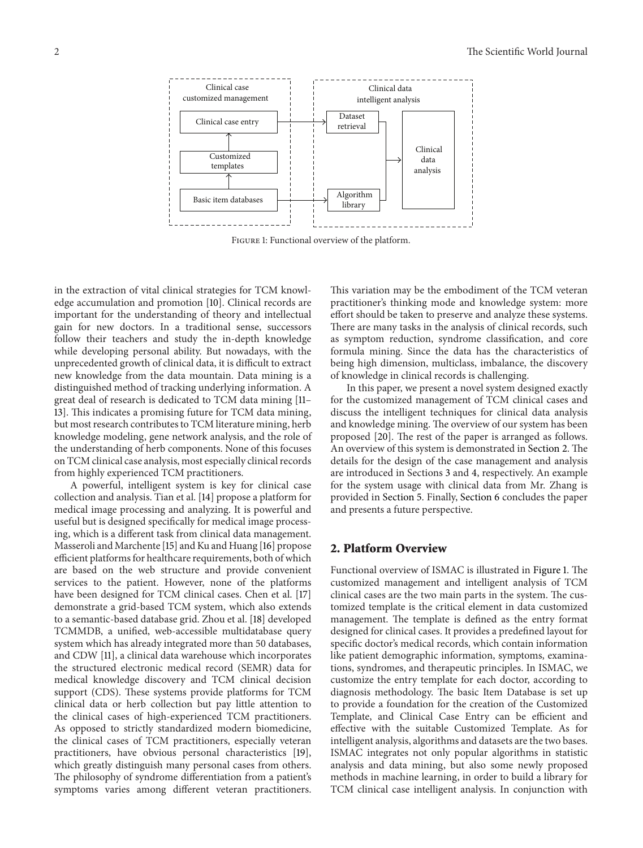

Figure 1: Functional overview of the platform.

in the extraction of vital clinical strategies for TCM knowledge accumulation and promotion [10]. Clinical records are important for the understanding of theory and intellectual gain for new doctors. In a traditional sense, successors follow their teachers and study the in-depth knowledge while developing personal ability. But nowadays, with the unprecedented growth of clinical data, it is difficult to extract new knowledge from the data mountain. Data mining is a distinguished method of tracking underlying information. A great deal of research is dedicated to TCM data mining [11– 13]. This indicates a promising future for TCM data mining, but most research contributes to TCM literature mining, herb knowledge modeling, gene network analysis, and the role of the understanding of herb components. None of this focuses on TCM clinical case analysis, most especially clinical records from highly experienced TCM practitioners.

A powerful, intelligent system is key for clinical case collection and analysis. Tian et al. [14] propose a platform for medical image processing and analyzing. It is powerful and useful but is designed specifically for medical image processing, which is a different task from clinical data management. Masseroli and Marchente [15] and Ku and Huang [16] propose efficient platforms for healthcare requirements, both of which are based on the web structure and provide convenient services to the patient. However, none of the platforms have been designed for TCM clinical cases. Chen et al. [17] demonstrate a grid-based TCM system, which also extends to a semantic-based database grid. Zhou et al. [18] developed TCMMDB, a unified, web-accessible multidatabase query system which has already integrated more than 50 databases, and CDW [11], a clinical data warehouse which incorporates the structured electronic medical record (SEMR) data for medical knowledge discovery and TCM clinical decision support (CDS). These systems provide platforms for TCM clinical data or herb collection but pay little attention to the clinical cases of high-experienced TCM practitioners. As opposed to strictly standardized modern biomedicine, the clinical cases of TCM practitioners, especially veteran practitioners, have obvious personal characteristics [19], which greatly distinguish many personal cases from others. The philosophy of syndrome differentiation from a patient's symptoms varies among different veteran practitioners.

This variation may be the embodiment of the TCM veteran practitioner's thinking mode and knowledge system: more effort should be taken to preserve and analyze these systems. There are many tasks in the analysis of clinical records, such as symptom reduction, syndrome classification, and core formula mining. Since the data has the characteristics of being high dimension, multiclass, imbalance, the discovery of knowledge in clinical records is challenging.

In this paper, we present a novel system designed exactly for the customized management of TCM clinical cases and discuss the intelligent techniques for clinical data analysis and knowledge mining. The overview of our system has been proposed [20]. The rest of the paper is arranged as follows. An overview of this system is demonstrated in Section 2. The details for the design of the case management and analysis are introduced in Sections 3 and 4, respectively. An example for the system usage with clinical data from Mr. Zhang is provided in Section 5. Finally, Section 6 concludes the paper and presents a future perspective.

## **2. Platform Overview**

Functional overview of ISMAC is illustrated in Figure 1. The customized management and intelligent analysis of TCM clinical cases are the two main parts in the system. The customized template is the critical element in data customized management. The template is defined as the entry format designed for clinical cases. It provides a predefined layout for specific doctor's medical records, which contain information like patient demographic information, symptoms, examinations, syndromes, and therapeutic principles. In ISMAC, we customize the entry template for each doctor, according to diagnosis methodology. The basic Item Database is set up to provide a foundation for the creation of the Customized Template, and Clinical Case Entry can be efficient and effective with the suitable Customized Template. As for intelligent analysis, algorithms and datasets are the two bases. ISMAC integrates not only popular algorithms in statistic analysis and data mining, but also some newly proposed methods in machine learning, in order to build a library for TCM clinical case intelligent analysis. In conjunction with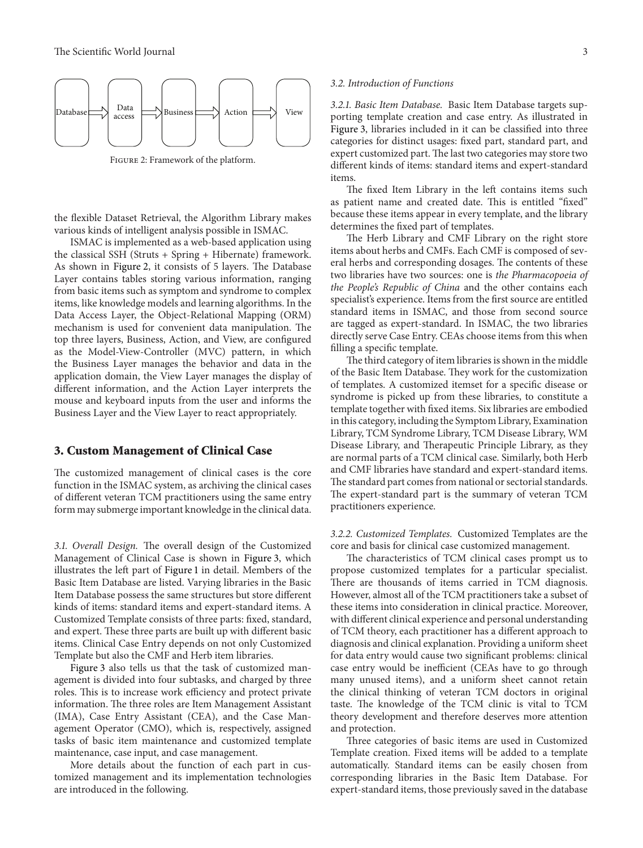

Figure 2: Framework of the platform.

the flexible Dataset Retrieval, the Algorithm Library makes various kinds of intelligent analysis possible in ISMAC.

ISMAC is implemented as a web-based application using the classical SSH (Struts + Spring + Hibernate) framework. As shown in Figure 2, it consists of 5 layers. The Database Layer contains tables storing various information, ranging from basic items such as symptom and syndrome to complex items, like knowledge models and learning algorithms. In the Data Access Layer, the Object-Relational Mapping (ORM) mechanism is used for convenient data manipulation. The top three layers, Business, Action, and View, are configured as the Model-View-Controller (MVC) pattern, in which the Business Layer manages the behavior and data in the application domain, the View Layer manages the display of different information, and the Action Layer interprets the mouse and keyboard inputs from the user and informs the Business Layer and the View Layer to react appropriately.

#### **3. Custom Management of Clinical Case**

The customized management of clinical cases is the core function in the ISMAC system, as archiving the clinical cases of different veteran TCM practitioners using the same entry form may submerge important knowledge in the clinical data.

*3.1. Overall Design.* The overall design of the Customized Management of Clinical Case is shown in Figure 3, which illustrates the left part of Figure 1 in detail. Members of the Basic Item Database are listed. Varying libraries in the Basic Item Database possess the same structures but store different kinds of items: standard items and expert-standard items. A Customized Template consists of three parts: fixed, standard, and expert. These three parts are built up with different basic items. Clinical Case Entry depends on not only Customized Template but also the CMF and Herb item libraries.

Figure 3 also tells us that the task of customized management is divided into four subtasks, and charged by three roles. This is to increase work efficiency and protect private information. The three roles are Item Management Assistant (IMA), Case Entry Assistant (CEA), and the Case Management Operator (CMO), which is, respectively, assigned tasks of basic item maintenance and customized template maintenance, case input, and case management.

More details about the function of each part in customized management and its implementation technologies are introduced in the following.

#### *3.2. Introduction of Functions*

*3.2.1. Basic Item Database.* Basic Item Database targets supporting template creation and case entry. As illustrated in Figure 3, libraries included in it can be classified into three categories for distinct usages: fixed part, standard part, and expert customized part. The last two categories may store two different kinds of items: standard items and expert-standard items.

The fixed Item Library in the left contains items such as patient name and created date. This is entitled "fixed" because these items appear in every template, and the library determines the fixed part of templates.

The Herb Library and CMF Library on the right store items about herbs and CMFs. Each CMF is composed of several herbs and corresponding dosages. The contents of these two libraries have two sources: one is *the Pharmacopoeia of the People's Republic of China* and the other contains each specialist's experience. Items from the first source are entitled standard items in ISMAC, and those from second source are tagged as expert-standard. In ISMAC, the two libraries directly serve Case Entry. CEAs choose items from this when filling a specific template.

The third category of item libraries is shown in the middle of the Basic Item Database. They work for the customization of templates. A customized itemset for a specific disease or syndrome is picked up from these libraries, to constitute a template together with fixed items. Six libraries are embodied in this category, including the Symptom Library, Examination Library, TCM Syndrome Library, TCM Disease Library, WM Disease Library, and Therapeutic Principle Library, as they are normal parts of a TCM clinical case. Similarly, both Herb and CMF libraries have standard and expert-standard items. The standard part comes from national or sectorial standards. The expert-standard part is the summary of veteran TCM practitioners experience.

*3.2.2. Customized Templates.* Customized Templates are the core and basis for clinical case customized management.

The characteristics of TCM clinical cases prompt us to propose customized templates for a particular specialist. There are thousands of items carried in TCM diagnosis. However, almost all of the TCM practitioners take a subset of these items into consideration in clinical practice. Moreover, with different clinical experience and personal understanding of TCM theory, each practitioner has a different approach to diagnosis and clinical explanation. Providing a uniform sheet for data entry would cause two significant problems: clinical case entry would be inefficient (CEAs have to go through many unused items), and a uniform sheet cannot retain the clinical thinking of veteran TCM doctors in original taste. The knowledge of the TCM clinic is vital to TCM theory development and therefore deserves more attention and protection.

Three categories of basic items are used in Customized Template creation. Fixed items will be added to a template automatically. Standard items can be easily chosen from corresponding libraries in the Basic Item Database. For expert-standard items, those previously saved in the database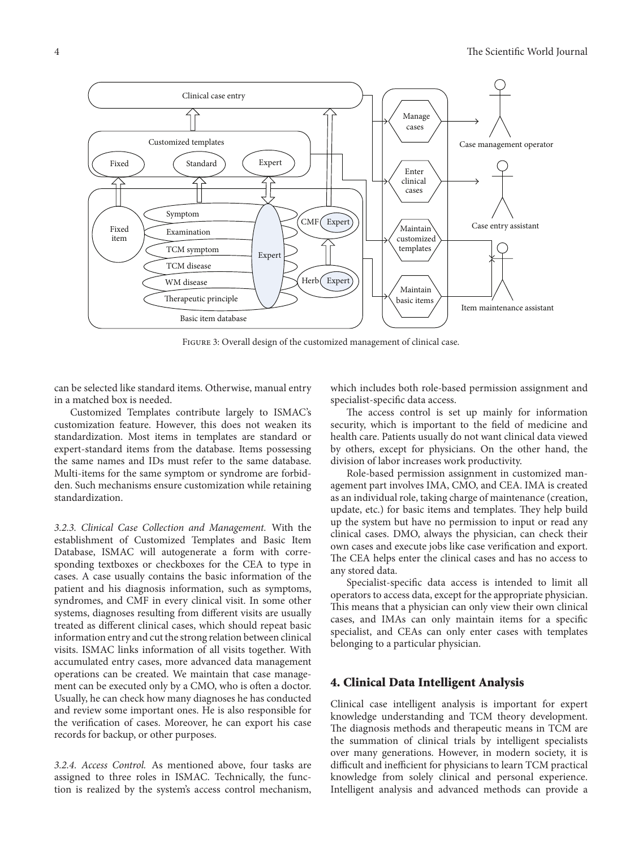

FIGURE 3: Overall design of the customized management of clinical case.

can be selected like standard items. Otherwise, manual entry in a matched box is needed.

Customized Templates contribute largely to ISMAC's customization feature. However, this does not weaken its standardization. Most items in templates are standard or expert-standard items from the database. Items possessing the same names and IDs must refer to the same database. Multi-items for the same symptom or syndrome are forbidden. Such mechanisms ensure customization while retaining standardization.

*3.2.3. Clinical Case Collection and Management.* With the establishment of Customized Templates and Basic Item Database, ISMAC will autogenerate a form with corresponding textboxes or checkboxes for the CEA to type in cases. A case usually contains the basic information of the patient and his diagnosis information, such as symptoms, syndromes, and CMF in every clinical visit. In some other systems, diagnoses resulting from different visits are usually treated as different clinical cases, which should repeat basic information entry and cut the strong relation between clinical visits. ISMAC links information of all visits together. With accumulated entry cases, more advanced data management operations can be created. We maintain that case management can be executed only by a CMO, who is often a doctor. Usually, he can check how many diagnoses he has conducted and review some important ones. He is also responsible for the verification of cases. Moreover, he can export his case records for backup, or other purposes.

*3.2.4. Access Control.* As mentioned above, four tasks are assigned to three roles in ISMAC. Technically, the function is realized by the system's access control mechanism,

which includes both role-based permission assignment and specialist-specific data access.

The access control is set up mainly for information security, which is important to the field of medicine and health care. Patients usually do not want clinical data viewed by others, except for physicians. On the other hand, the division of labor increases work productivity.

Role-based permission assignment in customized management part involves IMA, CMO, and CEA. IMA is created as an individual role, taking charge of maintenance (creation, update, etc.) for basic items and templates. They help build up the system but have no permission to input or read any clinical cases. DMO, always the physician, can check their own cases and execute jobs like case verification and export. The CEA helps enter the clinical cases and has no access to any stored data.

Specialist-specific data access is intended to limit all operators to access data, except for the appropriate physician. This means that a physician can only view their own clinical cases, and IMAs can only maintain items for a specific specialist, and CEAs can only enter cases with templates belonging to a particular physician.

## **4. Clinical Data Intelligent Analysis**

Clinical case intelligent analysis is important for expert knowledge understanding and TCM theory development. The diagnosis methods and therapeutic means in TCM are the summation of clinical trials by intelligent specialists over many generations. However, in modern society, it is difficult and inefficient for physicians to learn TCM practical knowledge from solely clinical and personal experience. Intelligent analysis and advanced methods can provide a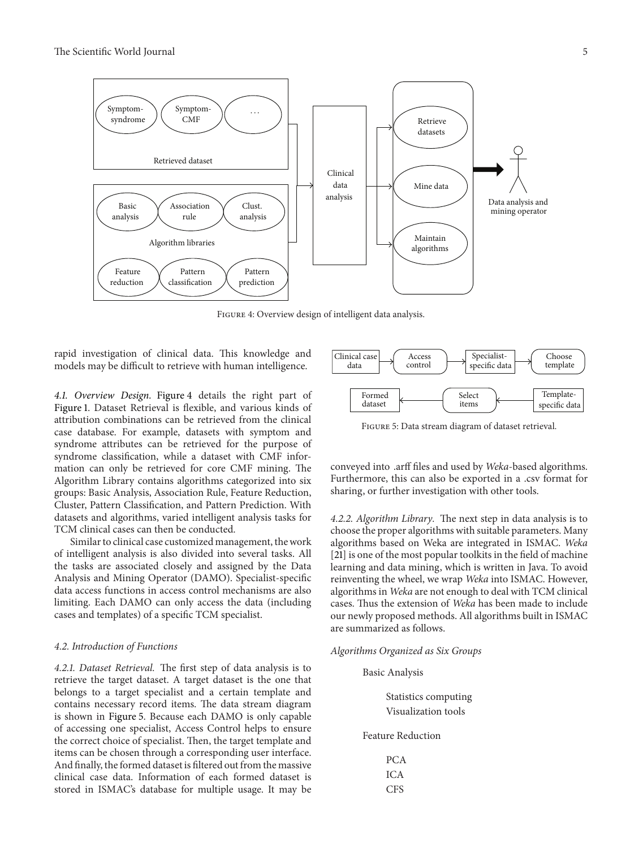

Figure 4: Overview design of intelligent data analysis.

rapid investigation of clinical data. This knowledge and models may be difficult to retrieve with human intelligence.

*4.1. Overview Design.* Figure 4 details the right part of Figure 1. Dataset Retrieval is flexible, and various kinds of attribution combinations can be retrieved from the clinical case database. For example, datasets with symptom and syndrome attributes can be retrieved for the purpose of syndrome classification, while a dataset with CMF information can only be retrieved for core CMF mining. The Algorithm Library contains algorithms categorized into six groups: Basic Analysis, Association Rule, Feature Reduction, Cluster, Pattern Classification, and Pattern Prediction. With datasets and algorithms, varied intelligent analysis tasks for TCM clinical cases can then be conducted.

Similar to clinical case customized management, the work of intelligent analysis is also divided into several tasks. All the tasks are associated closely and assigned by the Data Analysis and Mining Operator (DAMO). Specialist-specific data access functions in access control mechanisms are also limiting. Each DAMO can only access the data (including cases and templates) of a specific TCM specialist.

#### *4.2. Introduction of Functions*

*4.2.1. Dataset Retrieval.* The first step of data analysis is to retrieve the target dataset. A target dataset is the one that belongs to a target specialist and a certain template and contains necessary record items. The data stream diagram is shown in Figure 5. Because each DAMO is only capable of accessing one specialist, Access Control helps to ensure the correct choice of specialist. Then, the target template and items can be chosen through a corresponding user interface. And finally, the formed dataset is filtered out from the massive clinical case data. Information of each formed dataset is stored in ISMAC's database for multiple usage. It may be



Figure 5: Data stream diagram of dataset retrieval.

conveyed into .arff files and used by *Weka*-based algorithms. Furthermore, this can also be exported in a .csv format for sharing, or further investigation with other tools.

*4.2.2. Algorithm Library.* The next step in data analysis is to choose the proper algorithms with suitable parameters. Many algorithms based on Weka are integrated in ISMAC. *Weka* [21] is one of the most popular toolkits in the field of machine learning and data mining, which is written in Java. To avoid reinventing the wheel, we wrap *Weka* into ISMAC. However, algorithms in *Weka* are not enough to deal with TCM clinical cases. Thus the extension of *Weka* has been made to include our newly proposed methods. All algorithms built in ISMAC are summarized as follows.

#### *Algorithms Organized as Six Groups*

Basic Analysis

Statistics computing Visualization tools

## Feature Reduction

| P<br>€`A                             |  |
|--------------------------------------|--|
| $\mathsf{I} \mathsf{C} : \mathsf{A}$ |  |
| CES                                  |  |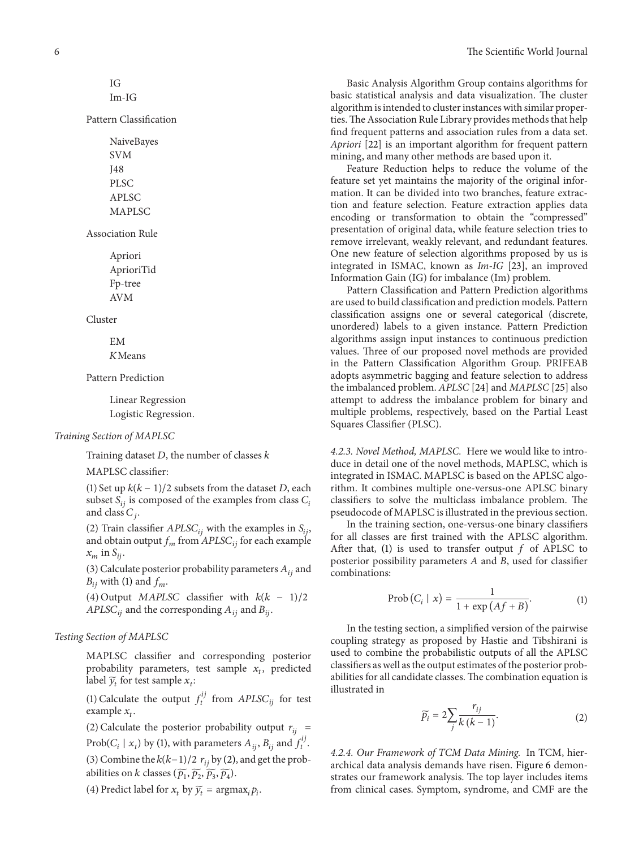### IG Im-IG

#### Pattern Classification

NaiveBayes SVM J48 PLSC APLSC MAPLSC

Association Rule

Apriori AprioriTid Fp-tree AVM

#### Cluster

EM **KMeans** 

#### Pattern Prediction

Linear Regression Logistic Regression.

#### *Training Section of MAPLSC*

Training dataset  $D$ , the number of classes  $k$ 

MAPLSC classifier:

(1) Set up  $k(k - 1)/2$  subsets from the dataset D, each subset  $S_{ii}$  is composed of the examples from class  $C_i$ and class  $C_i$ .

(2) Train classifier  $APLSC_{ij}$  with the examples in  $S_{ij}$ , and obtain output  $f_m$  from  $APLSC_{ij}$  for each example  $x_m$  in  $S_{ij}$ .

(3) Calculate posterior probability parameters  $A_{ij}$  and  $B_{ij}$  with (1) and  $f_m$ .

(4) Output *MAPLSC* classifier with  $k(k - 1)/2$  $APLSC_{ij}$  and the corresponding  $A_{ij}$  and  $B_{ij}$ .

#### *Testing Section of MAPLSC*

MAPLSC classifier and corresponding posterior probability parameters, test sample  $x_t$ , predicted label  $\widetilde{y}_t$  for test sample  $x_t$ :

(1) Calculate the output  $f_t^{ij}$  from APLSC<sub>ij</sub> for test example  $x_t$ .

(2) Calculate the posterior probability output  $r_{ij}$  = Prob( $C_i | x_t$ ) by (1), with parameters  $A_{ij}$ ,  $B_{ij}$  and  $f_t^{ij}$ . (3) Combine the  $k(k-1)/2$   $r_{ij}$  by (2), and get the probabilities on k classes  $(\widetilde{p_1}, \widetilde{p_2}, \widetilde{p_3}, \widetilde{p_4})$ .

(4) Predict label for  $x_t$  by  $\widetilde{y}_t$  = argmax<sub>i</sub> $p_i$ .

Basic Analysis Algorithm Group contains algorithms for basic statistical analysis and data visualization. The cluster algorithm is intended to cluster instances with similar properties.The Association Rule Library provides methods that help find frequent patterns and association rules from a data set. *Apriori* [22] is an important algorithm for frequent pattern mining, and many other methods are based upon it.

Feature Reduction helps to reduce the volume of the feature set yet maintains the majority of the original information. It can be divided into two branches, feature extraction and feature selection. Feature extraction applies data encoding or transformation to obtain the "compressed" presentation of original data, while feature selection tries to remove irrelevant, weakly relevant, and redundant features. One new feature of selection algorithms proposed by us is integrated in ISMAC, known as *Im-IG* [23], an improved Information Gain (IG) for imbalance (Im) problem.

Pattern Classification and Pattern Prediction algorithms are used to build classification and prediction models. Pattern classification assigns one or several categorical (discrete, unordered) labels to a given instance. Pattern Prediction algorithms assign input instances to continuous prediction values. Three of our proposed novel methods are provided in the Pattern Classification Algorithm Group. PRIFEAB adopts asymmetric bagging and feature selection to address the imbalanced problem. *APLSC* [24] and *MAPLSC* [25] also attempt to address the imbalance problem for binary and multiple problems, respectively, based on the Partial Least Squares Classifier (PLSC).

*4.2.3. Novel Method, MAPLSC.* Here we would like to introduce in detail one of the novel methods, MAPLSC, which is integrated in ISMAC. MAPLSC is based on the APLSC algorithm. It combines multiple one-versus-one APLSC binary classifiers to solve the multiclass imbalance problem. The pseudocode of MAPLSC is illustrated in the previous section.

In the training section, one-versus-one binary classifiers for all classes are first trained with the APLSC algorithm. After that, (1) is used to transfer output  $f$  of APLSC to posterior possibility parameters  $A$  and  $B$ , used for classifier combinations:

$$
\text{Prob}\left(C_i \mid x\right) = \frac{1}{1 + \exp\left(A f + B\right)}.\tag{1}
$$

In the testing section, a simplified version of the pairwise coupling strategy as proposed by Hastie and Tibshirani is used to combine the probabilistic outputs of all the APLSC classifiers as well as the output estimates of the posterior probabilities for all candidate classes. The combination equation is illustrated in

$$
\widetilde{p_i} = 2 \sum_{j} \frac{r_{ij}}{k(k-1)}.
$$
 (2)

*4.2.4. Our Framework of TCM Data Mining.* In TCM, hierarchical data analysis demands have risen. Figure 6 demonstrates our framework analysis. The top layer includes items from clinical cases. Symptom, syndrome, and CMF are the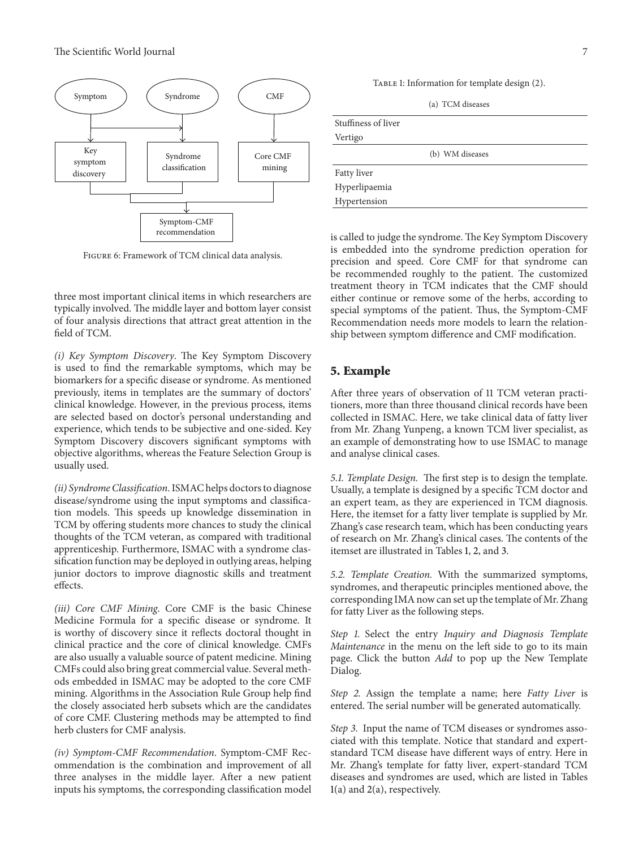

Figure 6: Framework of TCM clinical data analysis.

three most important clinical items in which researchers are typically involved. The middle layer and bottom layer consist of four analysis directions that attract great attention in the field of TCM.

*(i) Key Symptom Discovery*. The Key Symptom Discovery is used to find the remarkable symptoms, which may be biomarkers for a specific disease or syndrome. As mentioned previously, items in templates are the summary of doctors' clinical knowledge. However, in the previous process, items are selected based on doctor's personal understanding and experience, which tends to be subjective and one-sided. Key Symptom Discovery discovers significant symptoms with objective algorithms, whereas the Feature Selection Group is usually used.

*(ii) Syndrome Classification*. ISMAC helps doctors to diagnose disease/syndrome using the input symptoms and classification models. This speeds up knowledge dissemination in TCM by offering students more chances to study the clinical thoughts of the TCM veteran, as compared with traditional apprenticeship. Furthermore, ISMAC with a syndrome classification function may be deployed in outlying areas, helping junior doctors to improve diagnostic skills and treatment effects.

*(iii) Core CMF Mining*. Core CMF is the basic Chinese Medicine Formula for a specific disease or syndrome. It is worthy of discovery since it reflects doctoral thought in clinical practice and the core of clinical knowledge. CMFs are also usually a valuable source of patent medicine. Mining CMFs could also bring great commercial value. Several methods embedded in ISMAC may be adopted to the core CMF mining. Algorithms in the Association Rule Group help find the closely associated herb subsets which are the candidates of core CMF. Clustering methods may be attempted to find herb clusters for CMF analysis.

*(iv) Symptom-CMF Recommendation*. Symptom-CMF Recommendation is the combination and improvement of all three analyses in the middle layer. After a new patient inputs his symptoms, the corresponding classification model

TABLE 1: Information for template design (2).

|  | (a) TCM diseases |
|--|------------------|
|--|------------------|

| Stuffiness of liver |
|---------------------|
| Vertigo             |
| (b) WM diseases     |
| Fatty liver         |
| Hyperlipaemia       |
| Hypertension        |

is called to judge the syndrome. The Key Symptom Discovery is embedded into the syndrome prediction operation for precision and speed. Core CMF for that syndrome can be recommended roughly to the patient. The customized treatment theory in TCM indicates that the CMF should either continue or remove some of the herbs, according to special symptoms of the patient. Thus, the Symptom-CMF Recommendation needs more models to learn the relationship between symptom difference and CMF modification.

## **5. Example**

After three years of observation of 11 TCM veteran practitioners, more than three thousand clinical records have been collected in ISMAC. Here, we take clinical data of fatty liver from Mr. Zhang Yunpeng, a known TCM liver specialist, as an example of demonstrating how to use ISMAC to manage and analyse clinical cases.

*5.1. Template Design.* The first step is to design the template. Usually, a template is designed by a specific TCM doctor and an expert team, as they are experienced in TCM diagnosis. Here, the itemset for a fatty liver template is supplied by Mr. Zhang's case research team, which has been conducting years of research on Mr. Zhang's clinical cases. The contents of the itemset are illustrated in Tables 1, 2, and 3.

*5.2. Template Creation.* With the summarized symptoms, syndromes, and therapeutic principles mentioned above, the corresponding IMA now can set up the template of Mr. Zhang for fatty Liver as the following steps.

*Step 1.* Select the entry *Inquiry and Diagnosis Template Maintenance* in the menu on the left side to go to its main page. Click the button *Add* to pop up the New Template Dialog.

*Step 2.* Assign the template a name; here *Fatty Liver* is entered. The serial number will be generated automatically.

*Step 3.* Input the name of TCM diseases or syndromes associated with this template. Notice that standard and expertstandard TCM disease have different ways of entry. Here in Mr. Zhang's template for fatty liver, expert-standard TCM diseases and syndromes are used, which are listed in Tables 1(a) and 2(a), respectively.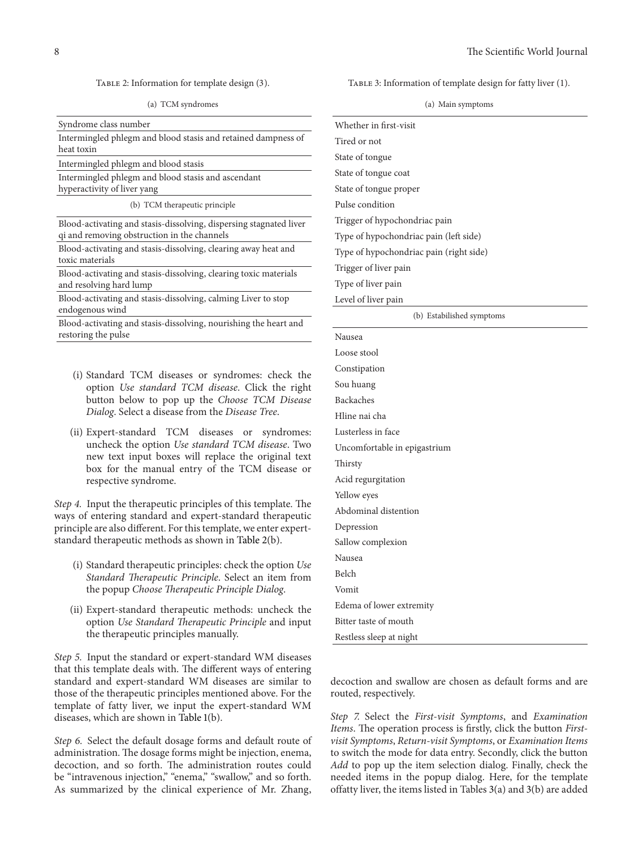TABLE 2: Information for template design (3).

(a) TCM syndromes

| Syndrome class number                                                             | Wheth   |
|-----------------------------------------------------------------------------------|---------|
| Intermingled phlegm and blood stasis and retained dampness of<br>heat toxin       | Tired ( |
| Intermingled phlegm and blood stasis                                              | State c |
| Intermingled phlegm and blood stasis and ascendant                                | State c |
| hyperactivity of liver yang                                                       | State c |
| (b) TCM therapeutic principle                                                     | Pulse   |
| Blood-activating and stasis-dissolving, dispersing stagnated liver                | Trigge  |
| qi and removing obstruction in the channels                                       | Type c  |
| Blood-activating and stasis-dissolving, clearing away heat and<br>toxic materials | Type c  |
| Blood-activating and stasis-dissolving, clearing toxic materials                  | Trigge  |
| and resolving hard lump                                                           | Type c  |
| Blood-activating and stasis-dissolving, calming Liver to stop<br>endogenous wind  | Level o |
| Blood-activating and stasis-dissolving, nourishing the heart and                  |         |
| restoring the pulse                                                               | Nause   |
|                                                                                   |         |

- (i) Standard TCM diseases or syndromes: check the option *Use standard TCM disease*. Click the right button below to pop up the *Choose TCM Disease Dialog*. Select a disease from the *Disease Tree*.
- (ii) Expert-standard TCM diseases or syndromes: uncheck the option *Use standard TCM disease*. Two new text input boxes will replace the original text box for the manual entry of the TCM disease or respective syndrome.

*Step 4.* Input the therapeutic principles of this template. The ways of entering standard and expert-standard therapeutic principle are also different. For this template, we enter expertstandard therapeutic methods as shown in Table 2(b).

- (i) Standard therapeutic principles: check the option *Use Standard Therapeutic Principle*. Select an item from the popup *Choose Therapeutic Principle Dialog*.
- (ii) Expert-standard therapeutic methods: uncheck the option *Use Standard Therapeutic Principle* and input the therapeutic principles manually.

*Step 5.* Input the standard or expert-standard WM diseases that this template deals with. The different ways of entering standard and expert-standard WM diseases are similar to those of the therapeutic principles mentioned above. For the template of fatty liver, we input the expert-standard WM diseases, which are shown in Table 1(b).

*Step 6.* Select the default dosage forms and default route of administration. The dosage forms might be injection, enema, decoction, and so forth. The administration routes could be "intravenous injection," "enema," "swallow," and so forth. As summarized by the clinical experience of Mr. Zhang,

TABLE 3: Information of template design for fatty liver (1).

(a) Main symptoms

| Whether in first-visit                  |
|-----------------------------------------|
| Tired or not                            |
| State of tongue                         |
| State of tongue coat                    |
| State of tongue proper                  |
| Pulse condition                         |
| Trigger of hypochondriac pain           |
| Type of hypochondriac pain (left side)  |
| Type of hypochondriac pain (right side) |
| Trigger of liver pain                   |
| Type of liver pain                      |
| Level of liver pain                     |
| $(h)$ $Dathilichod ormntomo$            |

| $(v)$ Establistica symptoms  |
|------------------------------|
| Nausea                       |
| Loose stool                  |
| Constipation                 |
| Sou huang                    |
| <b>Backaches</b>             |
| Hline nai cha                |
| Lusterless in face           |
| Uncomfortable in epigastrium |
| Thirsty                      |
| Acid regurgitation           |
| Yellow eyes                  |
| Abdominal distention         |
| Depression                   |
| Sallow complexion            |
| Nausea                       |
| Belch                        |
| Vomit                        |
| Edema of lower extremity     |
| Bitter taste of mouth        |
| Restless sleep at night      |

decoction and swallow are chosen as default forms and are routed, respectively.

*Step 7.* Select the *First-visit Symptoms*, and *Examination Items*. The operation process is firstly, click the button *Firstvisit Symptoms*, *Return-visit Symptoms*, or *Examination Items* to switch the mode for data entry. Secondly, click the button *Add* to pop up the item selection dialog. Finally, check the needed items in the popup dialog. Here, for the template offatty liver, the items listed in Tables 3(a) and 3(b) are added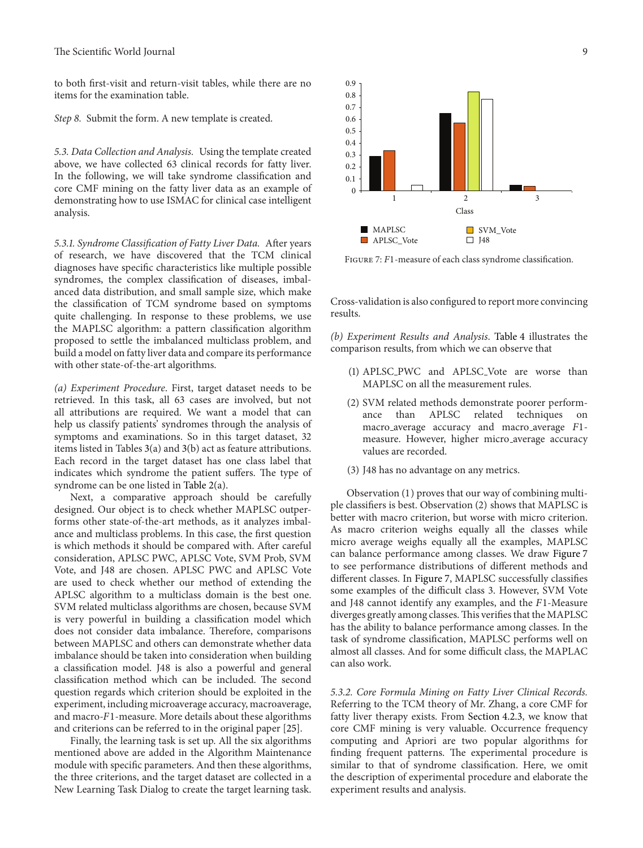#### The Scientific World Journal 9

to both first-visit and return-visit tables, while there are no items for the examination table.

*Step 8.* Submit the form. A new template is created.

*5.3. Data Collection and Analysis.* Using the template created above, we have collected 63 clinical records for fatty liver. In the following, we will take syndrome classification and core CMF mining on the fatty liver data as an example of demonstrating how to use ISMAC for clinical case intelligent analysis.

*5.3.1. Syndrome Classification of Fatty Liver Data.* After years of research, we have discovered that the TCM clinical diagnoses have specific characteristics like multiple possible syndromes, the complex classification of diseases, imbalanced data distribution, and small sample size, which make the classification of TCM syndrome based on symptoms quite challenging. In response to these problems, we use the MAPLSC algorithm: a pattern classification algorithm proposed to settle the imbalanced multiclass problem, and build a model on fatty liver data and compare its performance with other state-of-the-art algorithms.

*(a) Experiment Procedure*. First, target dataset needs to be retrieved. In this task, all 63 cases are involved, but not all attributions are required. We want a model that can help us classify patients' syndromes through the analysis of symptoms and examinations. So in this target dataset, 32 items listed in Tables 3(a) and 3(b) act as feature attributions. Each record in the target dataset has one class label that indicates which syndrome the patient suffers. The type of syndrome can be one listed in Table 2(a).

Next, a comparative approach should be carefully designed. Our object is to check whether MAPLSC outperforms other state-of-the-art methods, as it analyzes imbalance and multiclass problems. In this case, the first question is which methods it should be compared with. After careful consideration, APLSC PWC, APLSC Vote, SVM Prob, SVM Vote, and J48 are chosen. APLSC PWC and APLSC Vote are used to check whether our method of extending the APLSC algorithm to a multiclass domain is the best one. SVM related multiclass algorithms are chosen, because SVM is very powerful in building a classification model which does not consider data imbalance. Therefore, comparisons between MAPLSC and others can demonstrate whether data imbalance should be taken into consideration when building a classification model. J48 is also a powerful and general classification method which can be included. The second question regards which criterion should be exploited in the experiment, including microaverage accuracy, macroaverage, and macro- $F1$ -measure. More details about these algorithms and criterions can be referred to in the original paper [25].

Finally, the learning task is set up. All the six algorithms mentioned above are added in the Algorithm Maintenance module with specific parameters. And then these algorithms, the three criterions, and the target dataset are collected in a New Learning Task Dialog to create the target learning task.



FIGURE 7: F1-measure of each class syndrome classification.

Cross-validation is also configured to report more convincing results.

*(b) Experiment Results and Analysis*. Table 4 illustrates the comparison results, from which we can observe that

- (1) APLSC PWC and APLSC Vote are worse than MAPLSC on all the measurement rules.
- (2) SVM related methods demonstrate poorer performance than APLSC related techniques on macro\_average accuracy and macro\_average F1measure. However, higher micro average accuracy values are recorded.
- (3) J48 has no advantage on any metrics.

Observation (1) proves that our way of combining multiple classifiers is best. Observation (2) shows that MAPLSC is better with macro criterion, but worse with micro criterion. As macro criterion weighs equally all the classes while micro average weighs equally all the examples, MAPLSC can balance performance among classes. We draw Figure 7 to see performance distributions of different methods and different classes. In Figure 7, MAPLSC successfully classifies some examples of the difficult class 3. However, SVM Vote and J48 cannot identify any examples, and the  $F1$ -Measure diverges greatly among classes.This verifies that the MAPLSC has the ability to balance performance among classes. In the task of syndrome classification, MAPLSC performs well on almost all classes. And for some difficult class, the MAPLAC can also work.

*5.3.2. Core Formula Mining on Fatty Liver Clinical Records.* Referring to the TCM theory of Mr. Zhang, a core CMF for fatty liver therapy exists. From Section 4.2.3, we know that core CMF mining is very valuable. Occurrence frequency computing and Apriori are two popular algorithms for finding frequent patterns. The experimental procedure is similar to that of syndrome classification. Here, we omit the description of experimental procedure and elaborate the experiment results and analysis.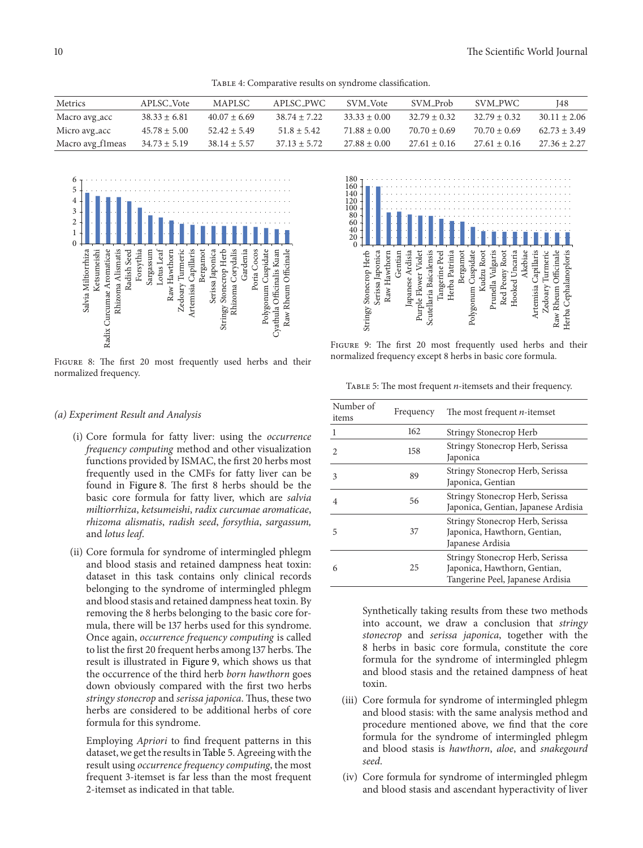TABLE 4: Comparative results on syndrome classification.

| Metrics          | APLSC_Vote       | <b>MAPLSC</b>    | APLSC_PWC        | SVM_Vote       | SVM_Prob       | SVM_PWC        | J48              |
|------------------|------------------|------------------|------------------|----------------|----------------|----------------|------------------|
| Macro avg_acc    | $38.33 \pm 6.81$ | $40.07 \pm 6.69$ | $38.74 \pm 7.22$ | $33.33 + 0.00$ | $32.79 + 0.32$ | $32.79 + 0.32$ | $30.11 \pm 2.06$ |
| Micro avg_acc    | $45.78 \pm 5.00$ | $52.42 + 5.49$   | $51.8 + 5.42$    | $71.88 + 0.00$ | $70.70 + 0.69$ | $70.70 + 0.69$ | $62.73 + 3.49$   |
| Macro avg_f1meas | $34.73 \pm 5.19$ | $38.14 \pm 5.57$ | $37.13 + 5.72$   | $27.88 + 0.00$ | $27.61 + 0.16$ | $27.61 + 0.16$ | $27.36 + 2.27$   |



FIGURE 8: The first 20 most frequently used herbs and their normalized frequency.

#### *(a) Experiment Result and Analysis*

- (i) Core formula for fatty liver: using the *occurrence frequency computing* method and other visualization functions provided by ISMAC, the first 20 herbs most frequently used in the CMFs for fatty liver can be found in Figure 8. The first 8 herbs should be the basic core formula for fatty liver, which are *salvia miltiorrhiza*, *ketsumeishi*, *radix curcumae aromaticae*, *rhizoma alismatis*, *radish seed*, *forsythia*, *sargassum,* and *lotus leaf*.
- (ii) Core formula for syndrome of intermingled phlegm and blood stasis and retained dampness heat toxin: dataset in this task contains only clinical records belonging to the syndrome of intermingled phlegm and blood stasis and retained dampness heat toxin. By removing the 8 herbs belonging to the basic core formula, there will be 137 herbs used for this syndrome. Once again, *occurrence frequency computing* is called to list the first 20 frequent herbs among 137 herbs. The result is illustrated in Figure 9, which shows us that the occurrence of the third herb *born hawthorn* goes down obviously compared with the first two herbs *stringy stonecrop* and *serissa japonica*. Thus, these two herbs are considered to be additional herbs of core formula for this syndrome.

Employing *Apriori* to find frequent patterns in this dataset, we get the results inTable 5. Agreeing with the result using *occurrence frequency computing*, the most frequent 3-itemset is far less than the most frequent 2-itemset as indicated in that table.



FIGURE 9: The first 20 most frequently used herbs and their normalized frequency except 8 herbs in basic core formula.

TABLE 5: The most frequent  $n$ -itemsets and their frequency.

| Number of<br>items | Frequency | The most frequent $n$ -itemset                                                                      |
|--------------------|-----------|-----------------------------------------------------------------------------------------------------|
|                    | 162       | Stringy Stonecrop Herb                                                                              |
| $\mathfrak{D}$     | 158       | Stringy Stonecrop Herb, Serissa<br>Japonica                                                         |
| $\mathbf{3}$       | 89        | Stringy Stonecrop Herb, Serissa<br>Japonica, Gentian                                                |
| 4                  | 56        | Stringy Stonecrop Herb, Serissa<br>Japonica, Gentian, Japanese Ardisia                              |
| 5                  | 37        | Stringy Stonecrop Herb, Serissa<br>Japonica, Hawthorn, Gentian,<br>Japanese Ardisia                 |
| 6                  | 25        | Stringy Stonecrop Herb, Serissa<br>Japonica, Hawthorn, Gentian,<br>Tangerine Peel, Japanese Ardisia |

Synthetically taking results from these two methods into account, we draw a conclusion that *stringy stonecrop* and *serissa japonica*, together with the 8 herbs in basic core formula, constitute the core formula for the syndrome of intermingled phlegm and blood stasis and the retained dampness of heat toxin.

- (iii) Core formula for syndrome of intermingled phlegm and blood stasis: with the same analysis method and procedure mentioned above, we find that the core formula for the syndrome of intermingled phlegm and blood stasis is *hawthorn*, *aloe*, and *snakegourd seed*.
- (iv) Core formula for syndrome of intermingled phlegm and blood stasis and ascendant hyperactivity of liver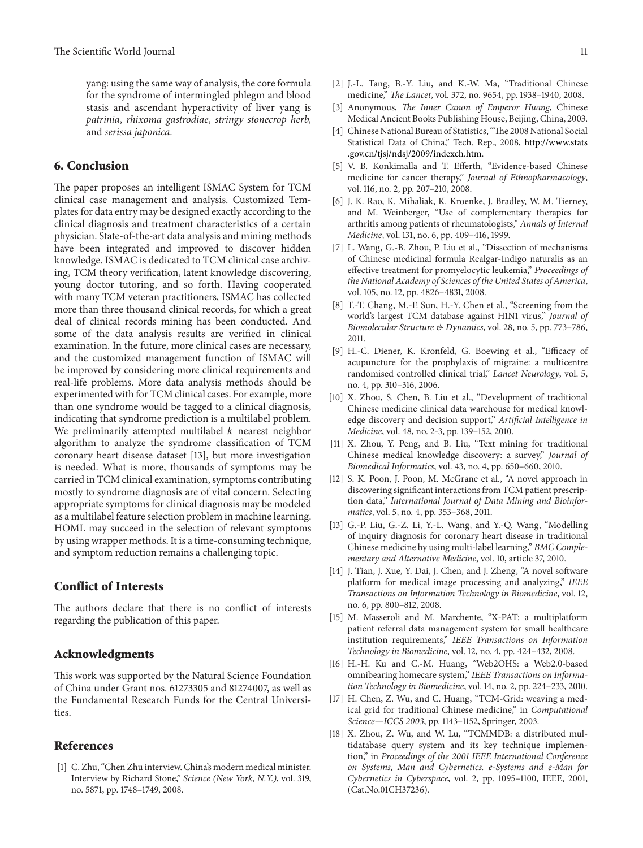yang: using the same way of analysis, the core formula for the syndrome of intermingled phlegm and blood stasis and ascendant hyperactivity of liver yang is *patrinia*, *rhixoma gastrodiae*, *stringy stonecrop herb,* and *serissa japonica*.

## **6. Conclusion**

The paper proposes an intelligent ISMAC System for TCM clinical case management and analysis. Customized Templates for data entry may be designed exactly according to the clinical diagnosis and treatment characteristics of a certain physician. State-of-the-art data analysis and mining methods have been integrated and improved to discover hidden knowledge. ISMAC is dedicated to TCM clinical case archiving, TCM theory verification, latent knowledge discovering, young doctor tutoring, and so forth. Having cooperated with many TCM veteran practitioners, ISMAC has collected more than three thousand clinical records, for which a great deal of clinical records mining has been conducted. And some of the data analysis results are verified in clinical examination. In the future, more clinical cases are necessary, and the customized management function of ISMAC will be improved by considering more clinical requirements and real-life problems. More data analysis methods should be experimented with for TCM clinical cases. For example, more than one syndrome would be tagged to a clinical diagnosis, indicating that syndrome prediction is a multilabel problem. We preliminarily attempted multilabel  $k$  nearest neighbor algorithm to analyze the syndrome classification of TCM coronary heart disease dataset [13], but more investigation is needed. What is more, thousands of symptoms may be carried in TCM clinical examination, symptoms contributing mostly to syndrome diagnosis are of vital concern. Selecting appropriate symptoms for clinical diagnosis may be modeled as a multilabel feature selection problem in machine learning. HOML may succeed in the selection of relevant symptoms by using wrapper methods. It is a time-consuming technique, and symptom reduction remains a challenging topic.

## **Conflict of Interests**

The authors declare that there is no conflict of interests regarding the publication of this paper.

#### **Acknowledgments**

This work was supported by the Natural Science Foundation of China under Grant nos. 61273305 and 81274007, as well as the Fundamental Research Funds for the Central Universities.

#### **References**

[1] C. Zhu, "Chen Zhu interview. China's modern medical minister. Interview by Richard Stone," *Science (New York, N.Y.)*, vol. 319, no. 5871, pp. 1748–1749, 2008.

- [2] J.-L. Tang, B.-Y. Liu, and K.-W. Ma, "Traditional Chinese medicine," *The Lancet*, vol. 372, no. 9654, pp. 1938–1940, 2008.
- [3] Anonymous, *The Inner Canon of Emperor Huang*, Chinese Medical Ancient Books Publishing House, Beijing, China, 2003.
- [4] Chinese National Bureau of Statistics, "The 2008 National Social Statistical Data of China," Tech. Rep., 2008, http://www.stats .gov.cn/tjsj/ndsj/2009/indexch.htm.
- [5] V. B. Konkimalla and T. Efferth, "Evidence-based Chinese medicine for cancer therapy," *Journal of Ethnopharmacology*, vol. 116, no. 2, pp. 207–210, 2008.
- [6] J. K. Rao, K. Mihaliak, K. Kroenke, J. Bradley, W. M. Tierney, and M. Weinberger, "Use of complementary therapies for arthritis among patients of rheumatologists," *Annals of Internal Medicine*, vol. 131, no. 6, pp. 409–416, 1999.
- [7] L. Wang, G.-B. Zhou, P. Liu et al., "Dissection of mechanisms of Chinese medicinal formula Realgar-Indigo naturalis as an effective treatment for promyelocytic leukemia," *Proceedings of the National Academy of Sciences of the United States of America*, vol. 105, no. 12, pp. 4826–4831, 2008.
- [8] T.-T. Chang, M.-F. Sun, H.-Y. Chen et al., "Screening from the world's largest TCM database against H1N1 virus," *Journal of Biomolecular Structure & Dynamics*, vol. 28, no. 5, pp. 773–786, 2011.
- [9] H.-C. Diener, K. Kronfeld, G. Boewing et al., "Efficacy of acupuncture for the prophylaxis of migraine: a multicentre randomised controlled clinical trial," *Lancet Neurology*, vol. 5, no. 4, pp. 310–316, 2006.
- [10] X. Zhou, S. Chen, B. Liu et al., "Development of traditional Chinese medicine clinical data warehouse for medical knowledge discovery and decision support," *Artificial Intelligence in Medicine*, vol. 48, no. 2-3, pp. 139–152, 2010.
- [11] X. Zhou, Y. Peng, and B. Liu, "Text mining for traditional Chinese medical knowledge discovery: a survey," *Journal of Biomedical Informatics*, vol. 43, no. 4, pp. 650–660, 2010.
- [12] S. K. Poon, J. Poon, M. McGrane et al., "A novel approach in discovering significant interactions from TCM patient prescription data," *International Journal of Data Mining and Bioinformatics*, vol. 5, no. 4, pp. 353–368, 2011.
- [13] G.-P. Liu, G.-Z. Li, Y.-L. Wang, and Y.-Q. Wang, "Modelling of inquiry diagnosis for coronary heart disease in traditional Chinese medicine by using multi-label learning," *BMC Complementary and Alternative Medicine*, vol. 10, article 37, 2010.
- [14] J. Tian, J. Xue, Y. Dai, J. Chen, and J. Zheng, "A novel software platform for medical image processing and analyzing," *IEEE Transactions on Information Technology in Biomedicine*, vol. 12, no. 6, pp. 800–812, 2008.
- [15] M. Masseroli and M. Marchente, "X-PAT: a multiplatform patient referral data management system for small healthcare institution requirements," *IEEE Transactions on Information Technology in Biomedicine*, vol. 12, no. 4, pp. 424–432, 2008.
- [16] H.-H. Ku and C.-M. Huang, "Web2OHS: a Web2.0-based omnibearing homecare system," *IEEE Transactions on Information Technology in Biomedicine*, vol. 14, no. 2, pp. 224–233, 2010.
- [17] H. Chen, Z. Wu, and C. Huang, "TCM-Grid: weaving a medical grid for traditional Chinese medicine," in *Computational Science—ICCS 2003*, pp. 1143–1152, Springer, 2003.
- [18] X. Zhou, Z. Wu, and W. Lu, "TCMMDB: a distributed multidatabase query system and its key technique implemention," in *Proceedings of the 2001 IEEE International Conference on Systems, Man and Cybernetics. e-Systems and e-Man for Cybernetics in Cyberspace*, vol. 2, pp. 1095–1100, IEEE, 2001, (Cat.No.01CH37236).